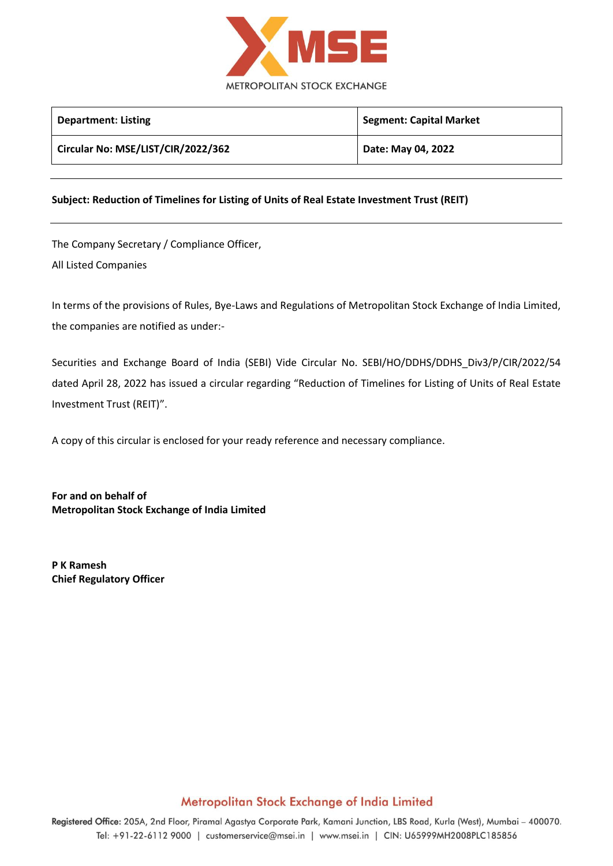

| <b>Department: Listing</b>         | <b>Segment: Capital Market</b> |
|------------------------------------|--------------------------------|
| Circular No: MSE/LIST/CIR/2022/362 | Date: May 04, 2022             |
|                                    |                                |

#### **Subject: Reduction of Timelines for Listing of Units of Real Estate Investment Trust (REIT)**

The Company Secretary / Compliance Officer, All Listed Companies

In terms of the provisions of Rules, Bye-Laws and Regulations of Metropolitan Stock Exchange of India Limited, the companies are notified as under:-

Securities and Exchange Board of India (SEBI) Vide Circular No. SEBI/HO/DDHS/DDHS\_Div3/P/CIR/2022/54 dated April 28, 2022 has issued a circular regarding "Reduction of Timelines for Listing of Units of Real Estate Investment Trust (REIT)".

A copy of this circular is enclosed for your ready reference and necessary compliance.

**For and on behalf of Metropolitan Stock Exchange of India Limited**

**P K Ramesh Chief Regulatory Officer**

#### Metropolitan Stock Exchange of India Limited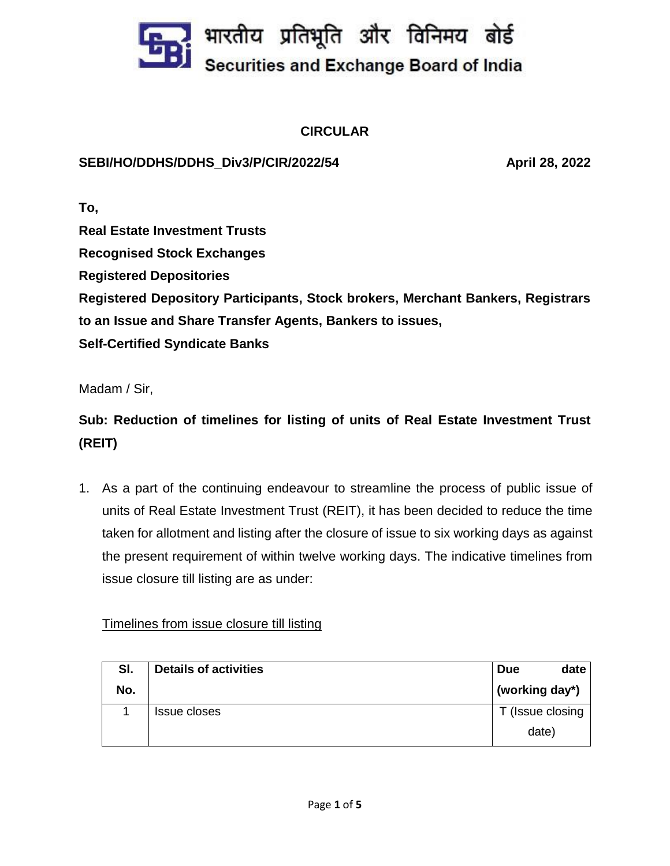

## **CIRCULAR**

### **SEBI/HO/DDHS/DDHS\_Div3/P/CIR/2022/54 April 28, 2022**

**To, Real Estate Investment Trusts Recognised Stock Exchanges Registered Depositories Registered Depository Participants, Stock brokers, Merchant Bankers, Registrars to an Issue and Share Transfer Agents, Bankers to issues, Self-Certified Syndicate Banks**

Madam / Sir,

# **Sub: Reduction of timelines for listing of units of Real Estate Investment Trust (REIT)**

1. As a part of the continuing endeavour to streamline the process of public issue of units of Real Estate Investment Trust (REIT), it has been decided to reduce the time taken for allotment and listing after the closure of issue to six working days as against the present requirement of within twelve working days. The indicative timelines from issue closure till listing are as under:

#### Timelines from issue closure till listing

| SI. | <b>Details of activities</b> | date<br><b>Due</b> |
|-----|------------------------------|--------------------|
| No. |                              | (working day*)     |
|     | Issue closes                 | (Issue closing)    |
|     |                              | date)              |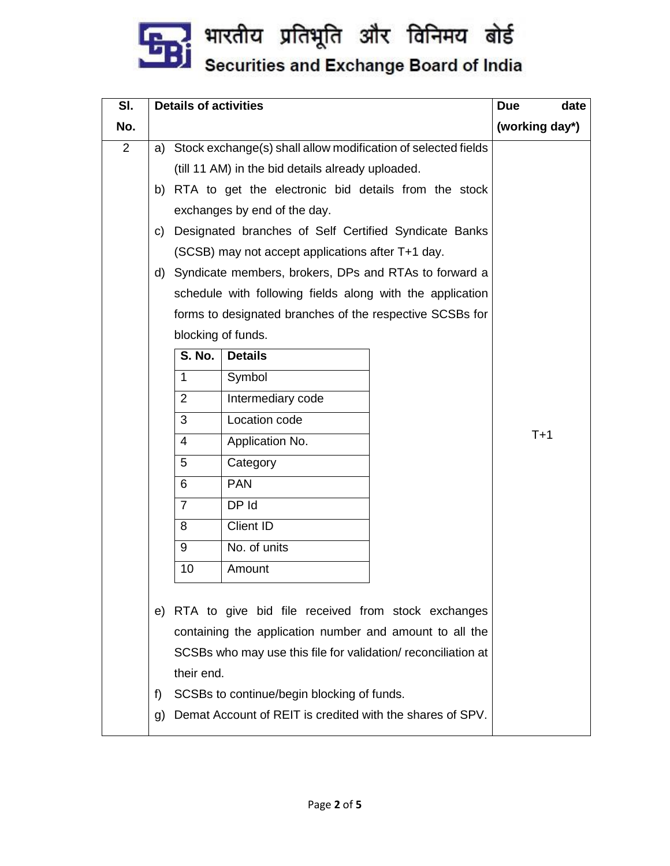

| SI. | <b>Details of activities</b>                                                                                                                                                                                                                                                                                           |                                                               |                                                           | date<br><b>Due</b> |                |
|-----|------------------------------------------------------------------------------------------------------------------------------------------------------------------------------------------------------------------------------------------------------------------------------------------------------------------------|---------------------------------------------------------------|-----------------------------------------------------------|--------------------|----------------|
| No. |                                                                                                                                                                                                                                                                                                                        |                                                               |                                                           |                    | (working day*) |
| 2   | a)                                                                                                                                                                                                                                                                                                                     | Stock exchange(s) shall allow modification of selected fields |                                                           |                    |                |
|     |                                                                                                                                                                                                                                                                                                                        |                                                               | (till 11 AM) in the bid details already uploaded.         |                    |                |
|     | b)                                                                                                                                                                                                                                                                                                                     |                                                               | RTA to get the electronic bid details from the stock      |                    |                |
|     |                                                                                                                                                                                                                                                                                                                        |                                                               | exchanges by end of the day.                              |                    |                |
|     | C)                                                                                                                                                                                                                                                                                                                     |                                                               | Designated branches of Self Certified Syndicate Banks     |                    |                |
|     |                                                                                                                                                                                                                                                                                                                        |                                                               | (SCSB) may not accept applications after T+1 day.         |                    |                |
|     | d)                                                                                                                                                                                                                                                                                                                     |                                                               | Syndicate members, brokers, DPs and RTAs to forward a     |                    |                |
|     |                                                                                                                                                                                                                                                                                                                        |                                                               | schedule with following fields along with the application |                    |                |
|     |                                                                                                                                                                                                                                                                                                                        |                                                               | forms to designated branches of the respective SCSBs for  |                    |                |
|     |                                                                                                                                                                                                                                                                                                                        | blocking of funds.                                            |                                                           |                    |                |
|     |                                                                                                                                                                                                                                                                                                                        | <b>S. No.</b>                                                 | <b>Details</b>                                            |                    |                |
|     |                                                                                                                                                                                                                                                                                                                        | $\mathbf{1}$                                                  | Symbol                                                    |                    |                |
|     |                                                                                                                                                                                                                                                                                                                        | $\overline{2}$                                                | Intermediary code                                         |                    |                |
|     |                                                                                                                                                                                                                                                                                                                        | 3                                                             | Location code                                             |                    |                |
|     |                                                                                                                                                                                                                                                                                                                        | 4                                                             | Application No.                                           |                    | $T+1$          |
|     |                                                                                                                                                                                                                                                                                                                        | 5                                                             | Category                                                  |                    |                |
|     |                                                                                                                                                                                                                                                                                                                        | 6                                                             | <b>PAN</b>                                                |                    |                |
|     |                                                                                                                                                                                                                                                                                                                        | $\overline{7}$                                                | DP Id                                                     |                    |                |
|     |                                                                                                                                                                                                                                                                                                                        | 8                                                             | Client ID                                                 |                    |                |
|     |                                                                                                                                                                                                                                                                                                                        | 9                                                             | No. of units                                              |                    |                |
|     |                                                                                                                                                                                                                                                                                                                        | 10                                                            | Amount                                                    |                    |                |
|     | e) RTA to give bid file received from stock exchanges<br>containing the application number and amount to all the<br>SCSBs who may use this file for validation/ reconciliation at<br>their end.<br>f)<br>SCSBs to continue/begin blocking of funds.<br>Demat Account of REIT is credited with the shares of SPV.<br>g) |                                                               |                                                           |                    |                |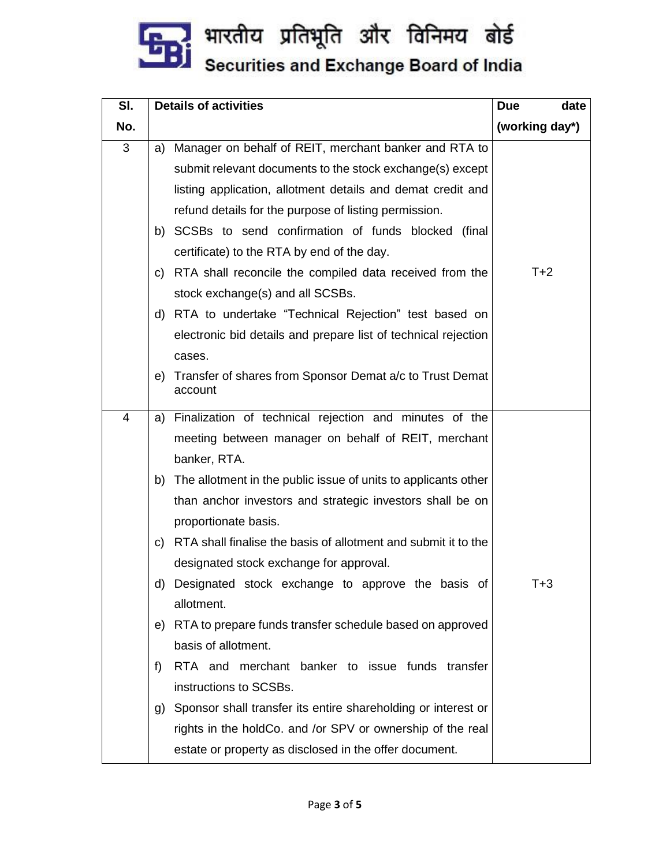

| SI. | <b>Details of activities</b> |                                                                | date<br><b>Due</b> |
|-----|------------------------------|----------------------------------------------------------------|--------------------|
| No. |                              |                                                                | (working day*)     |
| 3   | a)                           | Manager on behalf of REIT, merchant banker and RTA to          |                    |
|     |                              | submit relevant documents to the stock exchange(s) except      |                    |
|     |                              | listing application, allotment details and demat credit and    |                    |
|     |                              | refund details for the purpose of listing permission.          |                    |
|     |                              | b) SCSBs to send confirmation of funds blocked (final          |                    |
|     |                              | certificate) to the RTA by end of the day.                     |                    |
|     | C)                           | RTA shall reconcile the compiled data received from the        | $T+2$              |
|     |                              | stock exchange(s) and all SCSBs.                               |                    |
|     |                              | d) RTA to undertake "Technical Rejection" test based on        |                    |
|     |                              | electronic bid details and prepare list of technical rejection |                    |
|     | cases.                       |                                                                |                    |
|     | e)<br>account                | Transfer of shares from Sponsor Demat a/c to Trust Demat       |                    |
| 4   | a)                           | Finalization of technical rejection and minutes of the         |                    |
|     |                              | meeting between manager on behalf of REIT, merchant            |                    |
|     | banker, RTA.                 |                                                                |                    |
|     | b)                           | The allotment in the public issue of units to applicants other |                    |
|     | proportionate basis.         | than anchor investors and strategic investors shall be on      |                    |
|     | C)                           | RTA shall finalise the basis of allotment and submit it to the |                    |
|     |                              | designated stock exchange for approval.                        |                    |
|     |                              | d) Designated stock exchange to approve the basis of           | T+3                |
|     | allotment.                   |                                                                |                    |
|     |                              | e) RTA to prepare funds transfer schedule based on approved    |                    |
|     | basis of allotment.          |                                                                |                    |
|     | f)                           | RTA and merchant banker to issue funds transfer                |                    |
|     | instructions to SCSBs.       |                                                                |                    |
|     | g)                           | Sponsor shall transfer its entire shareholding or interest or  |                    |
|     |                              | rights in the holdCo. and /or SPV or ownership of the real     |                    |
|     |                              | estate or property as disclosed in the offer document.         |                    |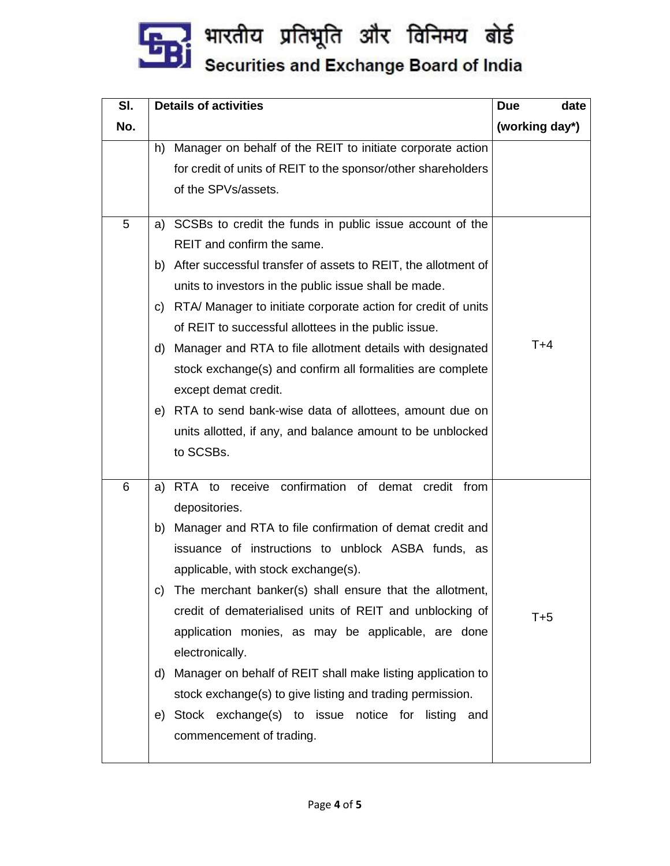

| SI. | <b>Details of activities</b>                                        | date<br><b>Due</b> |
|-----|---------------------------------------------------------------------|--------------------|
| No. |                                                                     | (working day*)     |
|     | Manager on behalf of the REIT to initiate corporate action<br>h)    |                    |
|     | for credit of units of REIT to the sponsor/other shareholders       |                    |
|     | of the SPVs/assets.                                                 |                    |
| 5   | a) SCSBs to credit the funds in public issue account of the         |                    |
|     | REIT and confirm the same.                                          |                    |
|     | After successful transfer of assets to REIT, the allotment of<br>b) |                    |
|     | units to investors in the public issue shall be made.               |                    |
|     | RTA/ Manager to initiate corporate action for credit of units<br>C) |                    |
|     | of REIT to successful allottees in the public issue.                |                    |
|     | Manager and RTA to file allotment details with designated<br>d)     | $T+4$              |
|     | stock exchange(s) and confirm all formalities are complete          |                    |
|     | except demat credit.                                                |                    |
|     | RTA to send bank-wise data of allottees, amount due on<br>e)        |                    |
|     | units allotted, if any, and balance amount to be unblocked          |                    |
|     | to SCSBs.                                                           |                    |
| 6   | RTA to receive confirmation of demat credit from<br>a)              |                    |
|     | depositories.                                                       |                    |
|     | Manager and RTA to file confirmation of demat credit and<br>b)      |                    |
|     | issuance of instructions to unblock ASBA funds, as                  |                    |
|     | applicable, with stock exchange(s).                                 |                    |
|     | The merchant banker(s) shall ensure that the allotment,<br>C)       |                    |
|     | credit of dematerialised units of REIT and unblocking of            | $T+5$              |
|     | application monies, as may be applicable, are done                  |                    |
|     | electronically.                                                     |                    |
|     | Manager on behalf of REIT shall make listing application to<br>d)   |                    |
|     | stock exchange(s) to give listing and trading permission.           |                    |
|     | e) Stock exchange(s) to issue notice for listing and                |                    |
|     | commencement of trading.                                            |                    |
|     |                                                                     |                    |